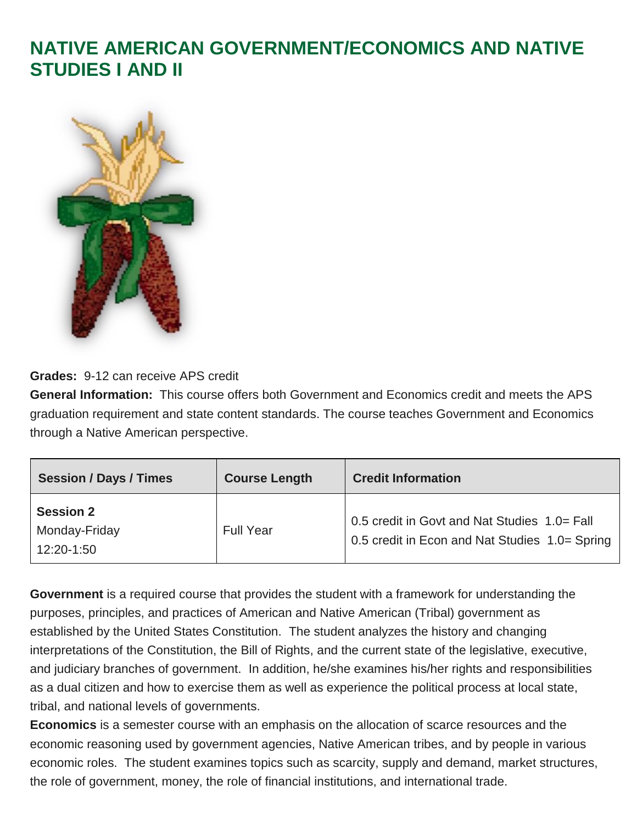### **NATIVE AMERICAN GOVERNMENT/ECONOMICS AND NATIVE STUDIES I AND II**



**Grades:** 9-12 can receive APS credit

**General Information:** This course offers both Government and Economics credit and meets the APS graduation requirement and state content standards. The course teaches Government and Economics through a Native American perspective.

| <b>Session / Days / Times</b>                   | <b>Course Length</b> | <b>Credit Information</b>                                                                      |
|-------------------------------------------------|----------------------|------------------------------------------------------------------------------------------------|
| <b>Session 2</b><br>Monday-Friday<br>12:20-1:50 | <b>Full Year</b>     | 0.5 credit in Govt and Nat Studies 1.0= Fall<br>0.5 credit in Econ and Nat Studies 1.0= Spring |

**Government** is a required course that provides the student with a framework for understanding the purposes, principles, and practices of American and Native American (Tribal) government as established by the United States Constitution. The student analyzes the history and changing interpretations of the Constitution, the Bill of Rights, and the current state of the legislative, executive, and judiciary branches of government. In addition, he/she examines his/her rights and responsibilities as a dual citizen and how to exercise them as well as experience the political process at local state, tribal, and national levels of governments.

**Economics** is a semester course with an emphasis on the allocation of scarce resources and the economic reasoning used by government agencies, Native American tribes, and by people in various economic roles. The student examines topics such as scarcity, supply and demand, market structures, the role of government, money, the role of financial institutions, and international trade.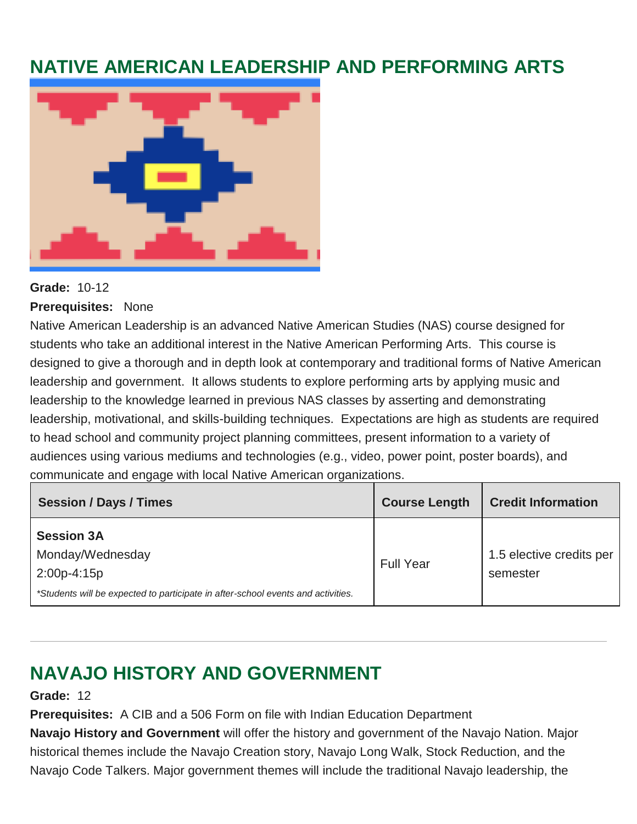## **NATIVE AMERICAN LEADERSHIP AND PERFORMING ARTS**



#### **Grade:** 10-12

**Prerequisites:** None

Native American Leadership is an advanced Native American Studies (NAS) course designed for students who take an additional interest in the Native American Performing Arts. This course is designed to give a thorough and in depth look at contemporary and traditional forms of Native American leadership and government. It allows students to explore performing arts by applying music and leadership to the knowledge learned in previous NAS classes by asserting and demonstrating leadership, motivational, and skills-building techniques. Expectations are high as students are required to head school and community project planning committees, present information to a variety of audiences using various mediums and technologies (e.g., video, power point, poster boards), and communicate and engage with local Native American organizations.

| <b>Session / Days / Times</b>                                                                                                              | <b>Course Length</b> | <b>Credit Information</b>            |
|--------------------------------------------------------------------------------------------------------------------------------------------|----------------------|--------------------------------------|
| <b>Session 3A</b><br>Monday/Wednesday<br>$2:00p-4:15p$<br>*Students will be expected to participate in after-school events and activities. | <b>Full Year</b>     | 1.5 elective credits per<br>semester |

# **NAVAJO HISTORY AND GOVERNMENT**

**Grade:** 12

**Prerequisites:** A CIB and a 506 Form on file with Indian Education Department

**Navajo History and Government** will offer the history and government of the Navajo Nation. Major historical themes include the Navajo Creation story, Navajo Long Walk, Stock Reduction, and the Navajo Code Talkers. Major government themes will include the traditional Navajo leadership, the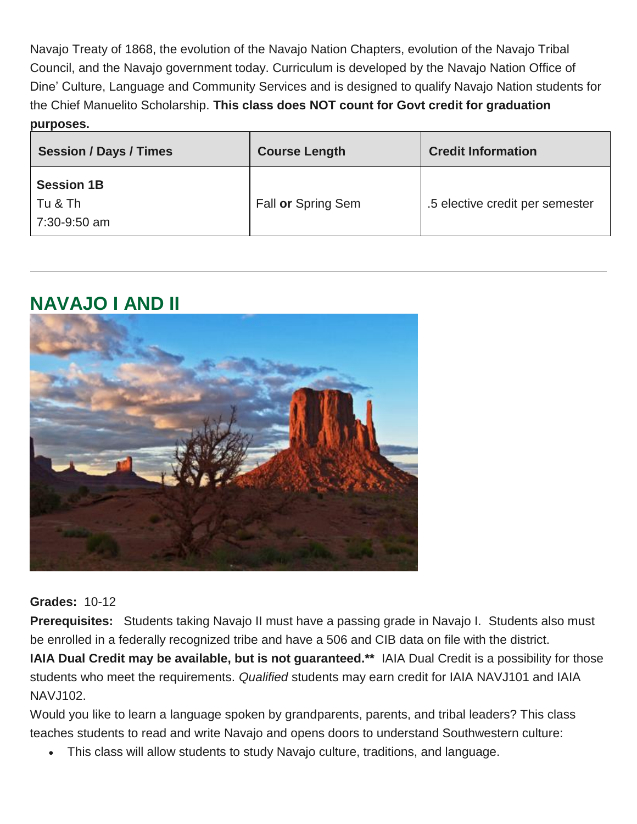Navajo Treaty of 1868, the evolution of the Navajo Nation Chapters, evolution of the Navajo Tribal Council, and the Navajo government today. Curriculum is developed by the Navajo Nation Office of Dine' Culture, Language and Community Services and is designed to qualify Navajo Nation students for the Chief Manuelito Scholarship. **This class does NOT count for Govt credit for graduation purposes.**

| <b>Session / Days / Times</b>                | <b>Course Length</b> | <b>Credit Information</b>       |
|----------------------------------------------|----------------------|---------------------------------|
| <b>Session 1B</b><br>Tu & Th<br>7:30-9:50 am | Fall or Spring Sem   | .5 elective credit per semester |

#### **NAVAJO I AND II**



**Grades:** 10-12

**Prerequisites:** Students taking Navajo II must have a passing grade in Navajo I. Students also must be enrolled in a federally recognized tribe and have a 506 and CIB data on file with the district.

**IAIA Dual Credit may be available, but is not guaranteed.\*\*** IAIA Dual Credit is a possibility for those students who meet the requirements. *Qualified* students may earn credit for IAIA NAVJ101 and IAIA NAV.1102.

Would you like to learn a language spoken by grandparents, parents, and tribal leaders? This class teaches students to read and write Navajo and opens doors to understand Southwestern culture:

This class will allow students to study Navajo culture, traditions, and language.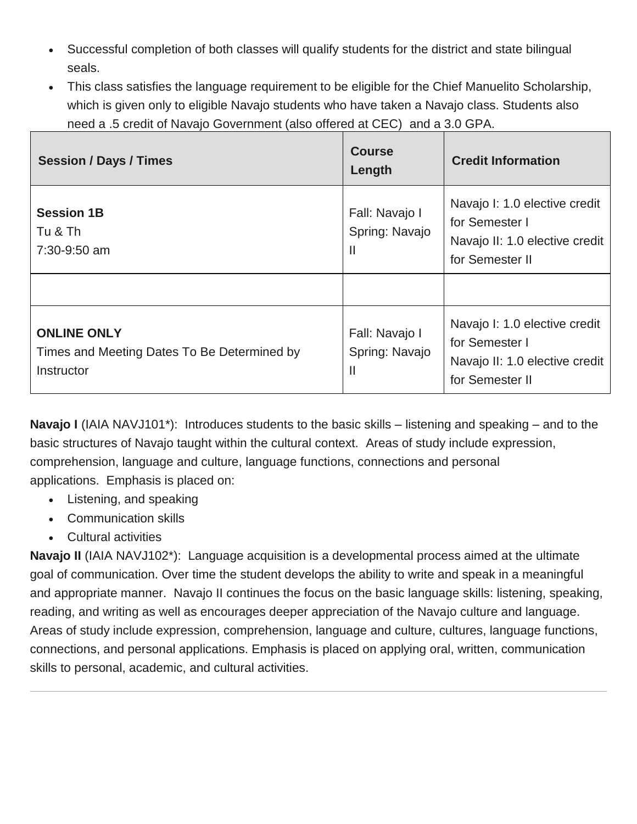- Successful completion of both classes will qualify students for the district and state bilingual seals.
- This class satisfies the language requirement to be eligible for the Chief Manuelito Scholarship, which is given only to eligible Navajo students who have taken a Navajo class. Students also need a .5 credit of Navajo Government (also offered at CEC) and a 3.0 GPA.

| <b>Session / Days / Times</b>                                                   | <b>Course</b><br>Length               | <b>Credit Information</b>                                                                            |
|---------------------------------------------------------------------------------|---------------------------------------|------------------------------------------------------------------------------------------------------|
| <b>Session 1B</b><br>Tu & Th<br>7:30-9:50 am                                    | Fall: Navajo I<br>Spring: Navajo<br>Ш | Navajo I: 1.0 elective credit<br>for Semester I<br>Navajo II: 1.0 elective credit<br>for Semester II |
|                                                                                 |                                       |                                                                                                      |
| <b>ONLINE ONLY</b><br>Times and Meeting Dates To Be Determined by<br>Instructor | Fall: Navajo I<br>Spring: Navajo<br>Ш | Navajo I: 1.0 elective credit<br>for Semester I<br>Navajo II: 1.0 elective credit<br>for Semester II |

**Navajo I** (IAIA NAVJ101<sup>\*</sup>): Introduces students to the basic skills – listening and speaking – and to the basic structures of Navajo taught within the cultural context. Areas of study include expression, comprehension, language and culture, language functions, connections and personal applications. Emphasis is placed on:

- Listening, and speaking
- Communication skills
- Cultural activities

**Navajo II** (IAIA NAVJ102<sup>\*</sup>): Language acquisition is a developmental process aimed at the ultimate goal of communication. Over time the student develops the ability to write and speak in a meaningful and appropriate manner. Navajo II continues the focus on the basic language skills: listening, speaking, reading, and writing as well as encourages deeper appreciation of the Navajo culture and language. Areas of study include expression, comprehension, language and culture, cultures, language functions, connections, and personal applications. Emphasis is placed on applying oral, written, communication skills to personal, academic, and cultural activities.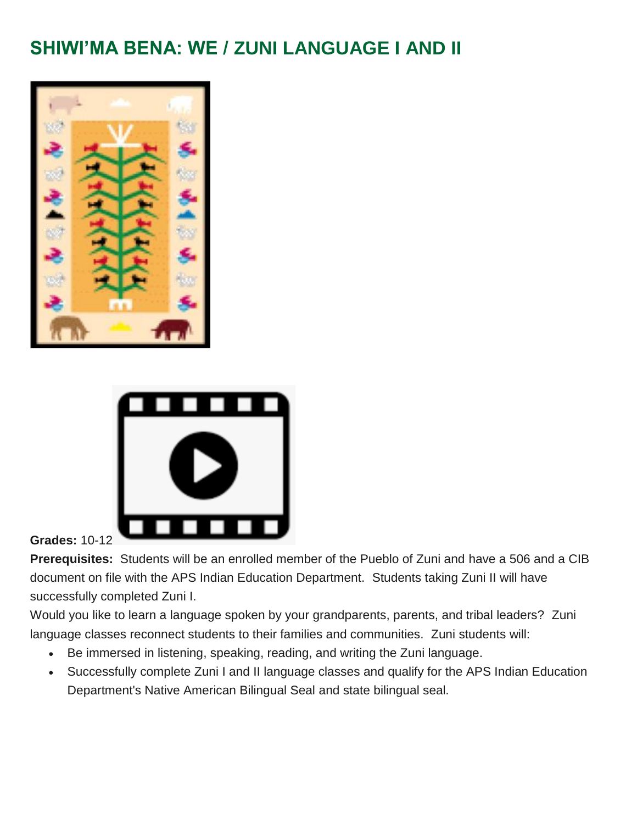# **SHIWI'MA BENA: WE / ZUNI LANGUAGE I AND II**





**Grades:** 10-1[2](https://youtu.be/CIdLRWeIPkQ)

**Prerequisites:** Students will be an enrolled member of the Pueblo of Zuni and have a 506 and a CIB document on file with the APS Indian Education Department. Students taking Zuni II will have successfully completed Zuni I.

Would you like to learn a language spoken by your grandparents, parents, and tribal leaders? Zuni language classes reconnect students to their families and communities. Zuni students will:

- Be immersed in listening, speaking, reading, and writing the Zuni language.
- Successfully complete Zuni I and II language classes and qualify for the APS Indian Education Department's Native American Bilingual Seal and state bilingual seal.